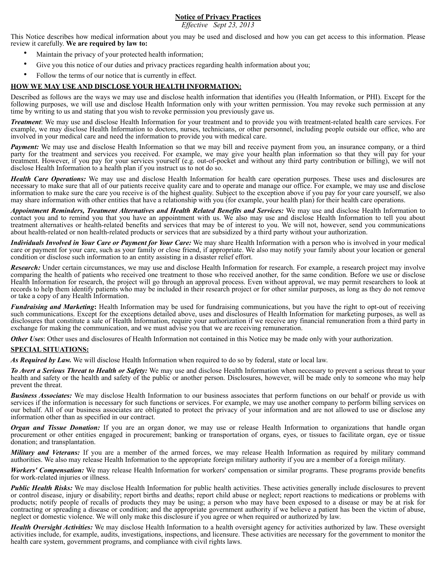# **Notice of Privacy Practices**

*Effective Sept 23, 2013*

This Notice describes how medical information about you may be used and disclosed and how you can get access to this information. Please review it carefully. **We are required by law to:**

- Maintain the privacy of your protected health information;
- Give you this notice of our duties and privacy practices regarding health information about you;
- Follow the terms of our notice that is currently in effect.

# **HOW WE MAY USE AND DISCLOSE YOUR HEALTH INFORMATION:**

Described as follows are the ways we may use and disclose health information that identifies you (Health Information, or PHI). Except for the following purposes, we will use and disclose Health Information only with your written permission. You may revoke such permission at any time by writing to us and stating that you wish to revoke permission you previously gave us.

*Treatment*: We may use and disclose Health Information for your treatment and to provide you with treatment-related health care services. For example, we may disclose Health Information to doctors, nurses, technicians, or other personnel, including people outside our office, who are involved in your medical care and need the information to provide you with medical care.

*Payment:* We may use and disclose Health Information so that we may bill and receive payment from you, an insurance company, or a third party for the treatment and services you received. For example, we may give your health plan information so that they will pay for your treatment. However, if you pay for your services yourself (e.g. out-of-pocket and without any third party contribution or billing), we will not disclose Health Information to a health plan if you instruct us to not do so.

*Health Care Operations:* We may use and disclose Health Information for health care operation purposes. These uses and disclosures are necessary to make sure that all of our patients receive quality care and to operate and manage our office. For example, we may use and disclose information to make sure the care you receive is of the highest quality. Subject to the exception above if you pay for your care yourself, we also may share information with other entities that have a relationship with you (for example, your health plan) for their health care operations.

*Appointment Reminders, Treatment Alternatives and Health Related Benefits and Services:* We may use and disclose Health Information to contact you and to remind you that you have an appointment with us. We also may use and disclose Health Information to tell you about treatment alternatives or health-related benefits and services that may be of interest to you. We will not, however, send you communications about health-related or non health-related products or services that are subsidized by a third party without your authorization.

*Individuals Involved in Your Care or Payment for Your Care:* We may share Health Information with a person who is involved in your medical care or payment for your care, such as your family or close friend, if appropriate. We also may notify your family about your location or general condition or disclose such information to an entity assisting in a disaster relief effort.

*Research:* Under certain circumstances, we may use and disclose Health Information for research. For example, a research project may involve comparing the health of patients who received one treatment to those who received another, for the same condition. Before we use or disclose Health Information for research, the project will go through an approval process. Even without approval, we may permit researchers to look at records to help them identify patients who may be included in their research project or for other similar purposes, as long as they do not remove or take a copy of any Health Information.

*Fundraising and Marketing***:** Health Information may be used for fundraising communications, but you have the right to opt-out of receiving such communications. Except for the exceptions detailed above, uses and disclosures of Health Information for marketing purposes, as well as disclosures that constitute a sale of Health Information, require your authorization if we receive any financial remuneration from a third party in exchange for making the communication, and we must advise you that we are receiving remuneration.

**Other Uses**: Other uses and disclosures of Health Information not contained in this Notice may be made only with your authorization.

# **SPECIAL SITUATIONS:**

*As Required by Law.* We will disclose Health Information when required to do so by federal, state or local law.

*To Avert a Serious Threat to Health or Safety:* We may use and disclose Health Information when necessary to prevent a serious threat to your health and safety or the health and safety of the public or another person. Disclosures, however, will be made only to someone who may help prevent the threat.

*Business Associates:* We may disclose Health Information to our business associates that perform functions on our behalf or provide us with services if the information is necessary for such functions or services. For example, we may use another company to perform billing services on our behalf. All of our business associates are obligated to protect the privacy of your information and are not allowed to use or disclose any information other than as specified in our contract.

*Organ and Tissue Donation:* If you are an organ donor, we may use or release Health Information to organizations that handle organ procurement or other entities engaged in procurement; banking or transportation of organs, eyes, or tissues to facilitate organ, eye or tissue donation; and transplantation.

*Military and Veterans:* If you are a member of the armed forces, we may release Health Information as required by military command authorities. We also may release Health Information to the appropriate foreign military authority if you are a member of a foreign military.

*Workers' Compensation:* We may release Health Information for workers' compensation or similar programs. These programs provide benefits for work-related injuries or illness.

**Public Health Risks:** We may disclose Health Information for public health activities. These activities generally include disclosures to prevent or control disease, injury or disability; report births and deaths; report child abuse or neglect; report reactions to medications or problems with products; notify people of recalls of products they may be using; a person who may have been exposed to a disease or may be at risk for contracting or spreading a disease or condition; and the appropriate government authority if we believe a patient has been the victim of abuse, neglect or domestic violence. We will only make this disclosure if you agree or when required or authorized by law.

Health Oversight Activities: We may disclose Health Information to a health oversight agency for activities authorized by law. These oversight activities include, for example, audits, investigations, inspections, and licensure. These activities are necessary for the government to monitor the health care system, government programs, and compliance with civil rights laws.